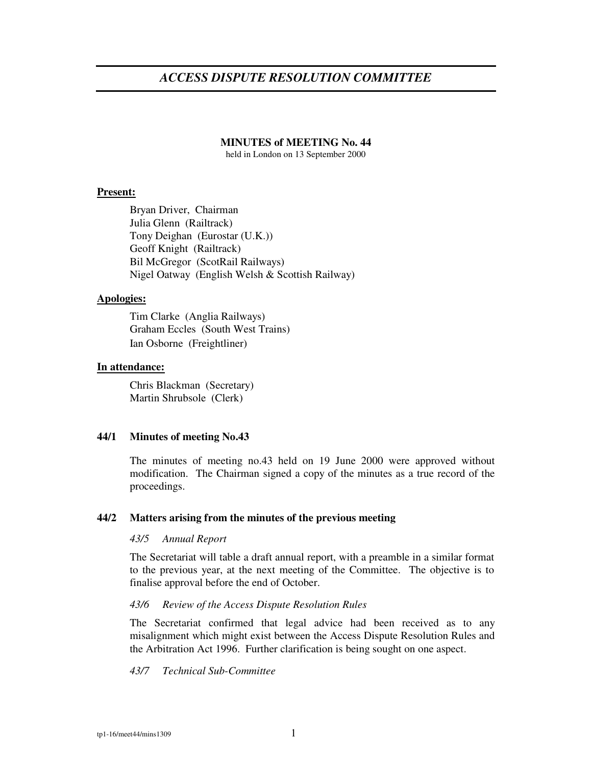# *ACCESS DISPUTE RESOLUTION COMMITTEE*

# **MINUTES of MEETING No. 44**

held in London on 13 September 2000

### **Present:**

Bryan Driver, Chairman Julia Glenn (Railtrack) Tony Deighan (Eurostar (U.K.)) Geoff Knight (Railtrack) Bil McGregor (ScotRail Railways) Nigel Oatway (English Welsh & Scottish Railway)

### **Apologies:**

Tim Clarke (Anglia Railways) Graham Eccles (South West Trains) Ian Osborne (Freightliner)

### **In attendance:**

Chris Blackman (Secretary) Martin Shrubsole (Clerk)

# **44/1 Minutes of meeting No.43**

The minutes of meeting no.43 held on 19 June 2000 were approved without modification. The Chairman signed a copy of the minutes as a true record of the proceedings.

#### **44/2 Matters arising from the minutes of the previous meeting**

### *43/5 Annual Report*

The Secretariat will table a draft annual report, with a preamble in a similar format to the previous year, at the next meeting of the Committee. The objective is to finalise approval before the end of October.

### *43/6 Review of the Access Dispute Resolution Rules*

The Secretariat confirmed that legal advice had been received as to any misalignment which might exist between the Access Dispute Resolution Rules and the Arbitration Act 1996. Further clarification is being sought on one aspect.

#### *43/7 Technical Sub-Committee*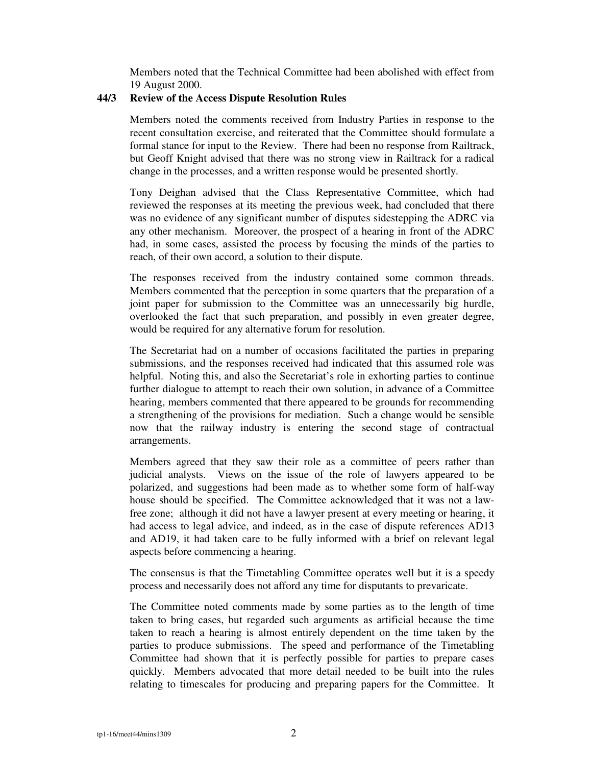Members noted that the Technical Committee had been abolished with effect from 19 August 2000.

# **44/3 Review of the Access Dispute Resolution Rules**

Members noted the comments received from Industry Parties in response to the recent consultation exercise, and reiterated that the Committee should formulate a formal stance for input to the Review. There had been no response from Railtrack, but Geoff Knight advised that there was no strong view in Railtrack for a radical change in the processes, and a written response would be presented shortly.

Tony Deighan advised that the Class Representative Committee, which had reviewed the responses at its meeting the previous week, had concluded that there was no evidence of any significant number of disputes sidestepping the ADRC via any other mechanism. Moreover, the prospect of a hearing in front of the ADRC had, in some cases, assisted the process by focusing the minds of the parties to reach, of their own accord, a solution to their dispute.

The responses received from the industry contained some common threads. Members commented that the perception in some quarters that the preparation of a joint paper for submission to the Committee was an unnecessarily big hurdle, overlooked the fact that such preparation, and possibly in even greater degree, would be required for any alternative forum for resolution.

The Secretariat had on a number of occasions facilitated the parties in preparing submissions, and the responses received had indicated that this assumed role was helpful. Noting this, and also the Secretariat's role in exhorting parties to continue further dialogue to attempt to reach their own solution, in advance of a Committee hearing, members commented that there appeared to be grounds for recommending a strengthening of the provisions for mediation. Such a change would be sensible now that the railway industry is entering the second stage of contractual arrangements.

Members agreed that they saw their role as a committee of peers rather than judicial analysts. Views on the issue of the role of lawyers appeared to be polarized, and suggestions had been made as to whether some form of half-way house should be specified. The Committee acknowledged that it was not a lawfree zone; although it did not have a lawyer present at every meeting or hearing, it had access to legal advice, and indeed, as in the case of dispute references AD13 and AD19, it had taken care to be fully informed with a brief on relevant legal aspects before commencing a hearing.

The consensus is that the Timetabling Committee operates well but it is a speedy process and necessarily does not afford any time for disputants to prevaricate.

The Committee noted comments made by some parties as to the length of time taken to bring cases, but regarded such arguments as artificial because the time taken to reach a hearing is almost entirely dependent on the time taken by the parties to produce submissions. The speed and performance of the Timetabling Committee had shown that it is perfectly possible for parties to prepare cases quickly. Members advocated that more detail needed to be built into the rules relating to timescales for producing and preparing papers for the Committee. It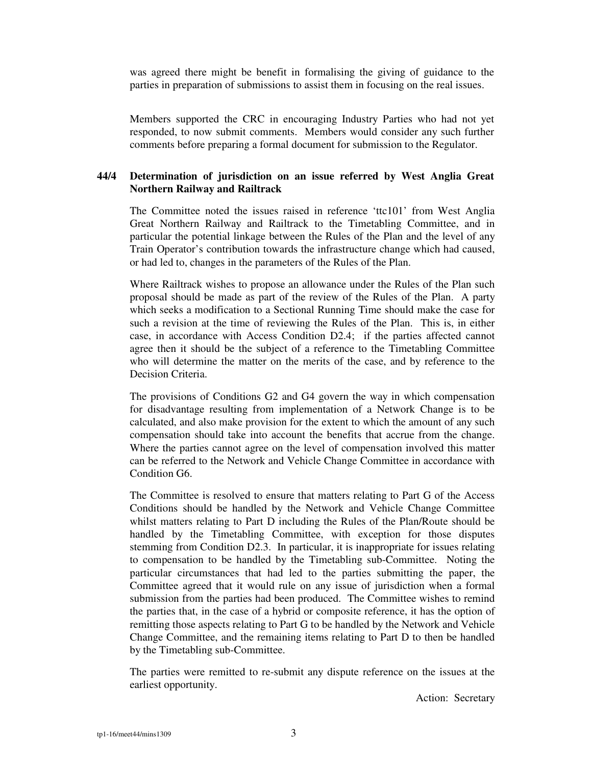was agreed there might be benefit in formalising the giving of guidance to the parties in preparation of submissions to assist them in focusing on the real issues.

Members supported the CRC in encouraging Industry Parties who had not yet responded, to now submit comments. Members would consider any such further comments before preparing a formal document for submission to the Regulator.

# **44/4 Determination of jurisdiction on an issue referred by West Anglia Great Northern Railway and Railtrack**

The Committee noted the issues raised in reference 'ttc101' from West Anglia Great Northern Railway and Railtrack to the Timetabling Committee, and in particular the potential linkage between the Rules of the Plan and the level of any Train Operator's contribution towards the infrastructure change which had caused, or had led to, changes in the parameters of the Rules of the Plan.

Where Railtrack wishes to propose an allowance under the Rules of the Plan such proposal should be made as part of the review of the Rules of the Plan. A party which seeks a modification to a Sectional Running Time should make the case for such a revision at the time of reviewing the Rules of the Plan. This is, in either case, in accordance with Access Condition D2.4; if the parties affected cannot agree then it should be the subject of a reference to the Timetabling Committee who will determine the matter on the merits of the case, and by reference to the Decision Criteria.

The provisions of Conditions G2 and G4 govern the way in which compensation for disadvantage resulting from implementation of a Network Change is to be calculated, and also make provision for the extent to which the amount of any such compensation should take into account the benefits that accrue from the change. Where the parties cannot agree on the level of compensation involved this matter can be referred to the Network and Vehicle Change Committee in accordance with Condition G6.

The Committee is resolved to ensure that matters relating to Part G of the Access Conditions should be handled by the Network and Vehicle Change Committee whilst matters relating to Part D including the Rules of the Plan/Route should be handled by the Timetabling Committee, with exception for those disputes stemming from Condition D2.3. In particular, it is inappropriate for issues relating to compensation to be handled by the Timetabling sub-Committee. Noting the particular circumstances that had led to the parties submitting the paper, the Committee agreed that it would rule on any issue of jurisdiction when a formal submission from the parties had been produced. The Committee wishes to remind the parties that, in the case of a hybrid or composite reference, it has the option of remitting those aspects relating to Part G to be handled by the Network and Vehicle Change Committee, and the remaining items relating to Part D to then be handled by the Timetabling sub-Committee.

The parties were remitted to re-submit any dispute reference on the issues at the earliest opportunity.

Action: Secretary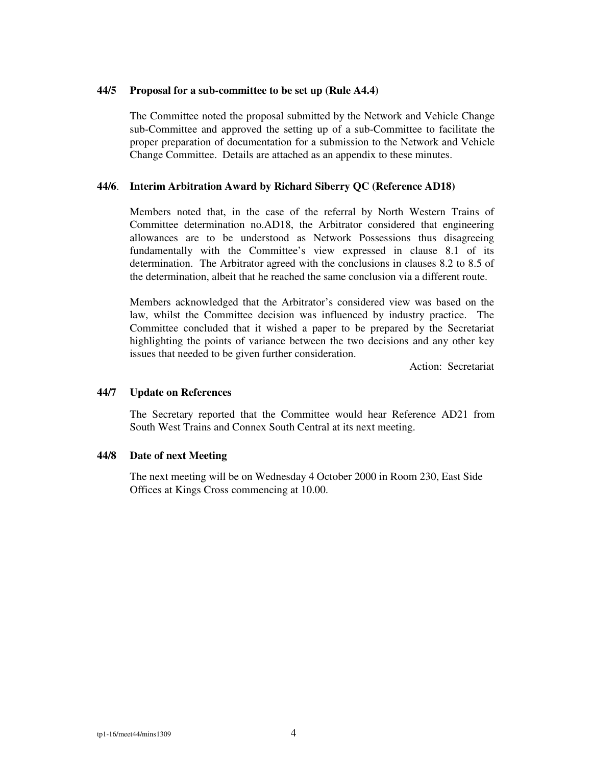### **44/5 Proposal for a sub-committee to be set up (Rule A4.4)**

The Committee noted the proposal submitted by the Network and Vehicle Change sub-Committee and approved the setting up of a sub-Committee to facilitate the proper preparation of documentation for a submission to the Network and Vehicle Change Committee. Details are attached as an appendix to these minutes.

# **44/6**. **Interim Arbitration Award by Richard Siberry QC (Reference AD18)**

Members noted that, in the case of the referral by North Western Trains of Committee determination no.AD18, the Arbitrator considered that engineering allowances are to be understood as Network Possessions thus disagreeing fundamentally with the Committee's view expressed in clause 8.1 of its determination. The Arbitrator agreed with the conclusions in clauses 8.2 to 8.5 of the determination, albeit that he reached the same conclusion via a different route.

Members acknowledged that the Arbitrator's considered view was based on the law, whilst the Committee decision was influenced by industry practice. The Committee concluded that it wished a paper to be prepared by the Secretariat highlighting the points of variance between the two decisions and any other key issues that needed to be given further consideration.

Action: Secretariat

## **44/7 Update on References**

The Secretary reported that the Committee would hear Reference AD21 from South West Trains and Connex South Central at its next meeting.

### **44/8 Date of next Meeting**

The next meeting will be on Wednesday 4 October 2000 in Room 230, East Side Offices at Kings Cross commencing at 10.00.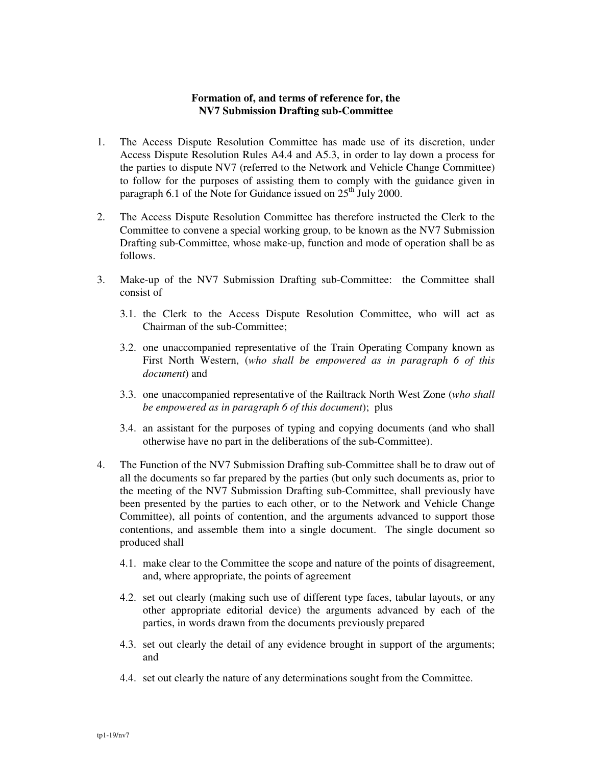# **Formation of, and terms of reference for, the NV7 Submission Drafting sub-Committee**

- 1. The Access Dispute Resolution Committee has made use of its discretion, under Access Dispute Resolution Rules A4.4 and A5.3, in order to lay down a process for the parties to dispute NV7 (referred to the Network and Vehicle Change Committee) to follow for the purposes of assisting them to comply with the guidance given in paragraph 6.1 of the Note for Guidance issued on  $25^{th}$  July 2000.
- 2. The Access Dispute Resolution Committee has therefore instructed the Clerk to the Committee to convene a special working group, to be known as the NV7 Submission Drafting sub-Committee, whose make-up, function and mode of operation shall be as follows.
- 3. Make-up of the NV7 Submission Drafting sub-Committee: the Committee shall consist of
	- 3.1. the Clerk to the Access Dispute Resolution Committee, who will act as Chairman of the sub-Committee;
	- 3.2. one unaccompanied representative of the Train Operating Company known as First North Western, (*who shall be empowered as in paragraph 6 of this document*) and
	- 3.3. one unaccompanied representative of the Railtrack North West Zone (*who shall be empowered as in paragraph 6 of this document*); plus
	- 3.4. an assistant for the purposes of typing and copying documents (and who shall otherwise have no part in the deliberations of the sub-Committee).
- 4. The Function of the NV7 Submission Drafting sub-Committee shall be to draw out of all the documents so far prepared by the parties (but only such documents as, prior to the meeting of the NV7 Submission Drafting sub-Committee, shall previously have been presented by the parties to each other, or to the Network and Vehicle Change Committee), all points of contention, and the arguments advanced to support those contentions, and assemble them into a single document. The single document so produced shall
	- 4.1. make clear to the Committee the scope and nature of the points of disagreement, and, where appropriate, the points of agreement
	- 4.2. set out clearly (making such use of different type faces, tabular layouts, or any other appropriate editorial device) the arguments advanced by each of the parties, in words drawn from the documents previously prepared
	- 4.3. set out clearly the detail of any evidence brought in support of the arguments; and
	- 4.4. set out clearly the nature of any determinations sought from the Committee.